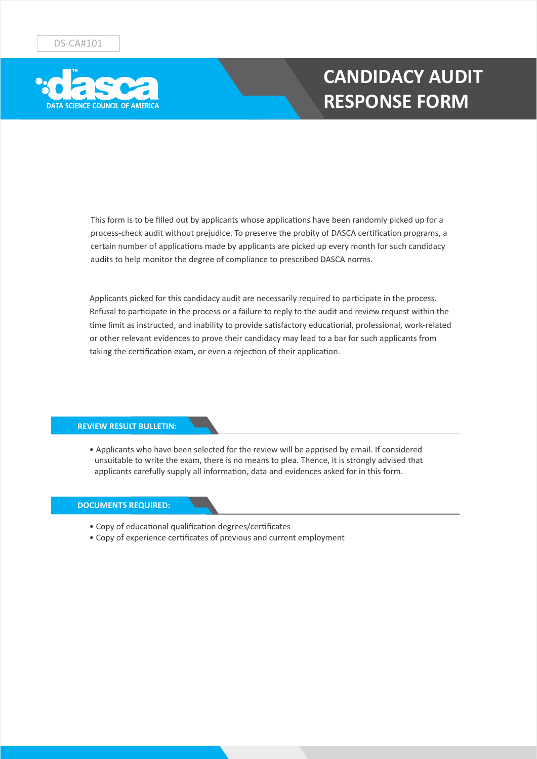

## **CANDIDACY AUDIT RESPONSE FORM**

This form is to be filled out by applicants whose applications have been randomly picked up for a process-check audit without prejudice. To preserve the probity of DASCA certification programs, a certain number of applications made by applicants are picked up every month for such candidacy audits to help monitor the degree of compliance to prescribed DASCA norms.

Applicants picked for this candidacy audit are necessarily required to participate in the process. Refusal to participate in the process or a failure to reply to the audit and review request within the time limit as instructed, and inability to provide satisfactory educational, professional, work-related or other relevant evidences to prove their candidacy may lead to a bar for such applicants from taking the certification exam, or even a rejection of their application.

### **REVIEW RESULT BULLETIN:**

• Applicants who have been selected for the review will be apprised by email. If considered unsuitable to write the exam, there is no means to plea. Thence, it is strongly advised that applicants carefully supply all information, data and evidences asked for in this form.

#### **DOCUMENTS REQUIRED:**

- Copy of educational qualification degrees/certificates
- Copy of experience cerficates of previous and current employment